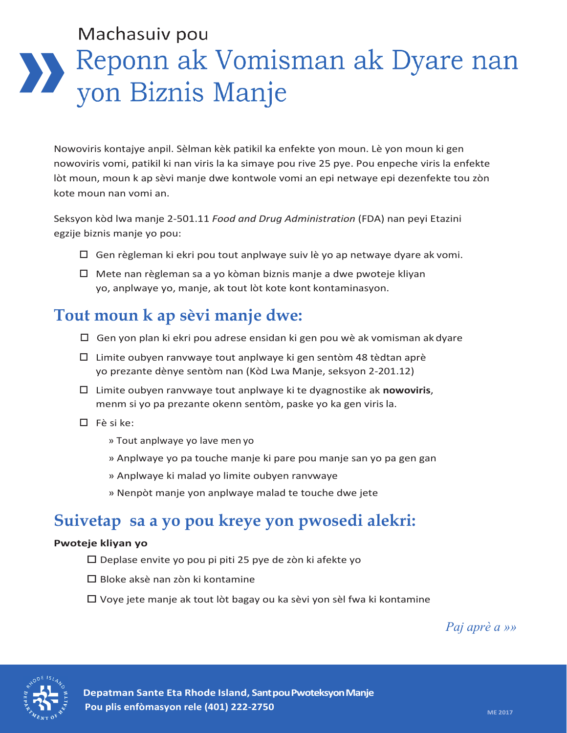# Machasuiv pou Reponn ak Vomisman ak Dyare nan yon Biznis Manje

Nowoviris kontajye anpil. Sèlman kèk patikil ka enfekte yon moun. Lè yon moun ki gen nowoviris vomi, patikil ki nan viris la ka simaye pou rive 25 pye. Pou enpeche viris la enfekte lòt moun, moun k ap sèvi manje dwe kontwole vomi an epi netwaye epi dezenfekte tou zòn kote moun nan vomi an.

Seksyon kòd lwa manje 2-501.11 *Food and Drug Administration* (FDA) nan peyi Etazini egzije biznis manje yo pou:

- $\Box$  Gen règleman ki ekri pou tout anplwaye suiv lè yo ap netwaye dyare ak vomi.
- Mete nan règleman sa a yo kòman biznis manje a dwe pwoteje kliyan yo, anplwaye yo, manje, ak tout lòt kote kont kontaminasyon.

## **Tout moun k ap sèvi manje dwe:**

- $\Box$  Gen yon plan ki ekri pou adrese ensidan ki gen pou wè ak vomisman ak dyare
- $\Box$  Limite oubyen ranvwaye tout anplwaye ki gen sentòm 48 tèdtan aprè yo prezante dènye sentòm nan (Kòd Lwa Manje, seksyon 2-201.12)
- Limite oubyen ranvwaye tout anplwaye ki te dyagnostike ak **nowoviris**, menm si yo pa prezante okenn sentòm, paske yo ka gen viris la.
- $\Box$  Fè si ke:
	- » Tout anplwaye yo lave men yo
	- » Anplwaye yo pa touche manje ki pare pou manje san yo pa gen gan
	- » Anplwaye ki malad yo limite oubyen ranvwaye
	- » Nenpòt manje yon anplwaye malad te touche dwe jete

## **Suivetap sa a yo pou kreye yon pwosedi alekri:**

### **Pwoteje kliyan yo**

- $\square$  Deplase envite yo pou pi piti 25 pye de zòn ki afekte yo
- $\Box$  Bloke aksè nan zòn ki kontamine
- Voye jete manje ak tout lòt bagay ou ka sèvi yon sèl fwa ki kontamine

*Paj aprè a »»*



**Depatman Sante Eta Rhode Island, Sant pou Pwoteksyon Manje Pou plis enfòmasyon rele (401) 222-2750 ME 2017 ME 2017** ME 2017